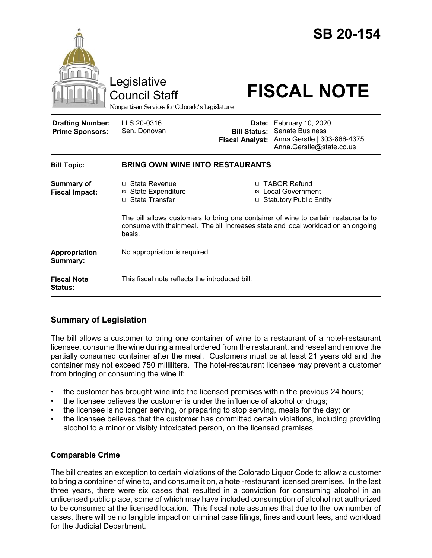|                                                   | Legislative<br><b>Council Staff</b><br>Nonpartisan Services for Colorado's Legislature                                                                                             |                                                                                       | <b>SB 20-154</b><br><b>FISCAL NOTE</b>                                                                       |
|---------------------------------------------------|------------------------------------------------------------------------------------------------------------------------------------------------------------------------------------|---------------------------------------------------------------------------------------|--------------------------------------------------------------------------------------------------------------|
| <b>Drafting Number:</b><br><b>Prime Sponsors:</b> | LLS 20-0316<br>Sen. Donovan                                                                                                                                                        | <b>Bill Status:</b><br><b>Fiscal Analyst:</b>                                         | Date: February 10, 2020<br><b>Senate Business</b><br>Anna Gerstle   303-866-4375<br>Anna.Gerstle@state.co.us |
| <b>Bill Topic:</b>                                | <b>BRING OWN WINE INTO RESTAURANTS</b>                                                                                                                                             |                                                                                       |                                                                                                              |
| <b>Summary of</b><br><b>Fiscal Impact:</b>        | $\Box$ State Revenue<br><b>⊠</b> State Expenditure<br>□ State Transfer                                                                                                             | □ TABOR Refund<br><b>Local Government</b><br>⊠<br><b>Statutory Public Entity</b><br>□ |                                                                                                              |
|                                                   | The bill allows customers to bring one container of wine to certain restaurants to<br>consume with their meal. The bill increases state and local workload on an ongoing<br>basis. |                                                                                       |                                                                                                              |
| Appropriation<br>Summary:                         | No appropriation is required.                                                                                                                                                      |                                                                                       |                                                                                                              |
| <b>Fiscal Note</b><br><b>Status:</b>              | This fiscal note reflects the introduced bill.                                                                                                                                     |                                                                                       |                                                                                                              |

# **Summary of Legislation**

The bill allows a customer to bring one container of wine to a restaurant of a hotel-restaurant licensee, consume the wine during a meal ordered from the restaurant, and reseal and remove the partially consumed container after the meal. Customers must be at least 21 years old and the container may not exceed 750 milliliters. The hotel-restaurant licensee may prevent a customer from bringing or consuming the wine if:

- the customer has brought wine into the licensed premises within the previous 24 hours;
- the licensee believes the customer is under the influence of alcohol or drugs;
- the licensee is no longer serving, or preparing to stop serving, meals for the day; or
- the licensee believes that the customer has committed certain violations, including providing alcohol to a minor or visibly intoxicated person, on the licensed premises.

## **Comparable Crime**

The bill creates an exception to certain violations of the Colorado Liquor Code to allow a customer to bring a container of wine to, and consume it on, a hotel-restaurant licensed premises. In the last three years, there were six cases that resulted in a conviction for consuming alcohol in an unlicensed public place, some of which may have included consumption of alcohol not authorized to be consumed at the licensed location. This fiscal note assumes that due to the low number of cases, there will be no tangible impact on criminal case filings, fines and court fees, and workload for the Judicial Department.